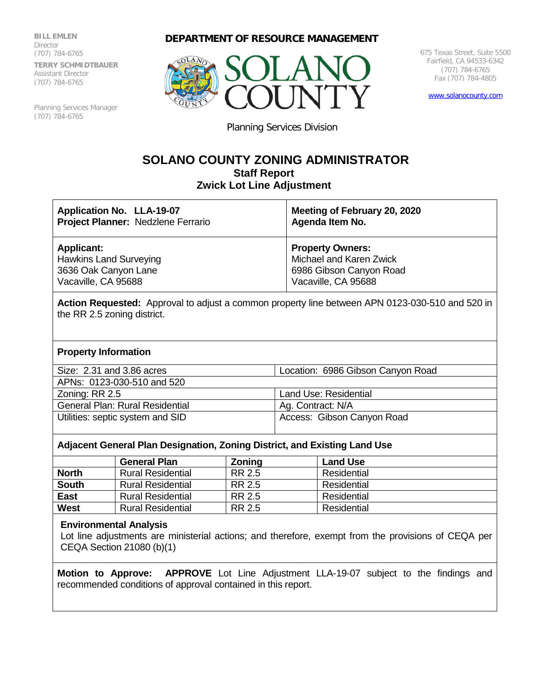**BILL EMLEN Director** (707) 784-6765 **TERRY SCHMIDTBAUER** Assistant Director (707) 784-6765

Planning Services Manager (707) 784-6765

## **DEPARTMENT OF RESOURCE MANAGEMENT**



675 Texas Street, Suite 5500 Fairfield, CA 94533-6342 (707) 784-6765 Fax (707) 784-4805

[www.solanocounty.com](http://www.solanocounty.com/)

Planning Services Division

## **SOLANO COUNTY ZONING ADMINISTRATOR Staff Report Zwick Lot Line Adjustment**

| Application No. LLA-19-07                                                                           | Meeting of February 20, 2020 |  |  |  |
|-----------------------------------------------------------------------------------------------------|------------------------------|--|--|--|
| Project Planner: Nedzlene Ferrario                                                                  | Agenda Item No.              |  |  |  |
| <b>Applicant:</b>                                                                                   | <b>Property Owners:</b>      |  |  |  |
| <b>Hawkins Land Surveying</b>                                                                       | Michael and Karen Zwick      |  |  |  |
| 3636 Oak Canyon Lane                                                                                | 6986 Gibson Canyon Road      |  |  |  |
| Vacaville, CA 95688                                                                                 | Vacaville, CA 95688          |  |  |  |
| Astian Democrated. Approval to adjust a converse property line between ADNI 0409,090 F40 and F90 in |                              |  |  |  |

**Action Requested:** Approval to adjust a common property line between APN 0123-030-510 and 520 in the RR 2.5 zoning district.

#### **Property Information**

| Size: 2.31 and 3.86 acres              | Location: 6986 Gibson Canyon Road |  |  |
|----------------------------------------|-----------------------------------|--|--|
| APNs: 0123-030-510 and 520             |                                   |  |  |
| Zoning: RR 2.5                         | Land Use: Residential             |  |  |
| <b>General Plan: Rural Residential</b> | Ag. Contract: N/A                 |  |  |
| Utilities: septic system and SID       | Access: Gibson Canyon Road        |  |  |
|                                        |                                   |  |  |

### **Adjacent General Plan Designation, Zoning District, and Existing Land Use**

|              | <b>General Plan</b>      | <b>Zoning</b> | <b>Land Use</b> |
|--------------|--------------------------|---------------|-----------------|
| <b>North</b> | <b>Rural Residential</b> | RR 2.5        | Residential     |
| <b>South</b> | Rural Residential        | RR 2.5        | Residential     |
| <b>East</b>  | <b>Rural Residential</b> | RR 2.5        | Residential     |
| <b>West</b>  | <b>Rural Residential</b> | RR 2.5        | Residential     |

#### **Environmental Analysis**

Lot line adjustments are ministerial actions; and therefore, exempt from the provisions of CEQA per CEQA Section 21080 (b)(1)

**Motion to Approve: APPROVE** Lot Line Adjustment LLA-19-07 subject to the findings and recommended conditions of approval contained in this report.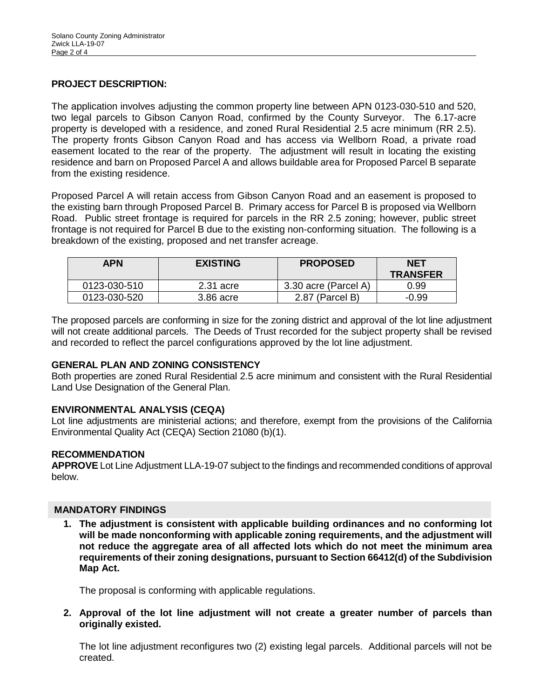## **PROJECT DESCRIPTION:**

The application involves adjusting the common property line between APN 0123-030-510 and 520, two legal parcels to Gibson Canyon Road, confirmed by the County Surveyor. The 6.17-acre property is developed with a residence, and zoned Rural Residential 2.5 acre minimum (RR 2.5). The property fronts Gibson Canyon Road and has access via Wellborn Road, a private road easement located to the rear of the property. The adjustment will result in locating the existing residence and barn on Proposed Parcel A and allows buildable area for Proposed Parcel B separate from the existing residence.

Proposed Parcel A will retain access from Gibson Canyon Road and an easement is proposed to the existing barn through Proposed Parcel B. Primary access for Parcel B is proposed via Wellborn Road. Public street frontage is required for parcels in the RR 2.5 zoning; however, public street frontage is not required for Parcel B due to the existing non-conforming situation. The following is a breakdown of the existing, proposed and net transfer acreage.

| <b>APN</b>   | <b>EXISTING</b> | <b>PROPOSED</b>      | <b>NET</b><br><b>TRANSFER</b> |
|--------------|-----------------|----------------------|-------------------------------|
| 0123-030-510 | $2.31$ acre     | 3.30 acre (Parcel A) | 0.99                          |
| 0123-030-520 | 3.86 acre       | 2.87 (Parcel B)      | -0.99                         |

The proposed parcels are conforming in size for the zoning district and approval of the lot line adjustment will not create additional parcels. The Deeds of Trust recorded for the subject property shall be revised and recorded to reflect the parcel configurations approved by the lot line adjustment.

#### **GENERAL PLAN AND ZONING CONSISTENCY**

Both properties are zoned Rural Residential 2.5 acre minimum and consistent with the Rural Residential Land Use Designation of the General Plan.

## **ENVIRONMENTAL ANALYSIS (CEQA)**

Lot line adjustments are ministerial actions; and therefore, exempt from the provisions of the California Environmental Quality Act (CEQA) Section 21080 (b)(1).

#### **RECOMMENDATION**

**APPROVE** Lot Line Adjustment LLA-19-07 subject to the findings and recommended conditions of approval below.

## **MANDATORY FINDINGS**

**1. The adjustment is consistent with applicable building ordinances and no conforming lot will be made nonconforming with applicable zoning requirements, and the adjustment will not reduce the aggregate area of all affected lots which do not meet the minimum area requirements of their zoning designations, pursuant to Section 66412(d) of the Subdivision Map Act.**

The proposal is conforming with applicable regulations.

**2. Approval of the lot line adjustment will not create a greater number of parcels than originally existed.**

The lot line adjustment reconfigures two (2) existing legal parcels. Additional parcels will not be created.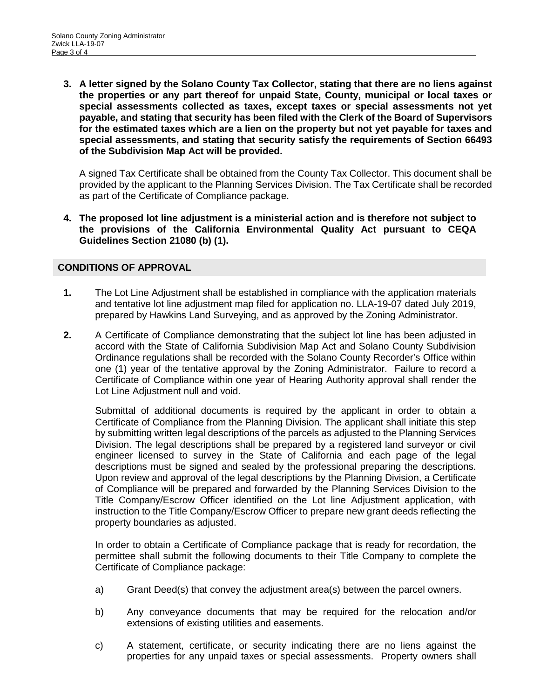**3. A letter signed by the Solano County Tax Collector, stating that there are no liens against the properties or any part thereof for unpaid State, County, municipal or local taxes or special assessments collected as taxes, except taxes or special assessments not yet payable, and stating that security has been filed with the Clerk of the Board of Supervisors for the estimated taxes which are a lien on the property but not yet payable for taxes and special assessments, and stating that security satisfy the requirements of Section 66493 of the Subdivision Map Act will be provided.** 

A signed Tax Certificate shall be obtained from the County Tax Collector. This document shall be provided by the applicant to the Planning Services Division. The Tax Certificate shall be recorded as part of the Certificate of Compliance package.

**4. The proposed lot line adjustment is a ministerial action and is therefore not subject to the provisions of the California Environmental Quality Act pursuant to CEQA Guidelines Section 21080 (b) (1).**

### **CONDITIONS OF APPROVAL**

- **1.** The Lot Line Adjustment shall be established in compliance with the application materials and tentative lot line adjustment map filed for application no. LLA-19-07 dated July 2019, prepared by Hawkins Land Surveying, and as approved by the Zoning Administrator.
- **2.** A Certificate of Compliance demonstrating that the subject lot line has been adjusted in accord with the State of California Subdivision Map Act and Solano County Subdivision Ordinance regulations shall be recorded with the Solano County Recorder's Office within one (1) year of the tentative approval by the Zoning Administrator. Failure to record a Certificate of Compliance within one year of Hearing Authority approval shall render the Lot Line Adjustment null and void.

Submittal of additional documents is required by the applicant in order to obtain a Certificate of Compliance from the Planning Division. The applicant shall initiate this step by submitting written legal descriptions of the parcels as adjusted to the Planning Services Division. The legal descriptions shall be prepared by a registered land surveyor or civil engineer licensed to survey in the State of California and each page of the legal descriptions must be signed and sealed by the professional preparing the descriptions. Upon review and approval of the legal descriptions by the Planning Division, a Certificate of Compliance will be prepared and forwarded by the Planning Services Division to the Title Company/Escrow Officer identified on the Lot line Adjustment application, with instruction to the Title Company/Escrow Officer to prepare new grant deeds reflecting the property boundaries as adjusted.

In order to obtain a Certificate of Compliance package that is ready for recordation, the permittee shall submit the following documents to their Title Company to complete the Certificate of Compliance package:

- a) Grant Deed(s) that convey the adjustment area(s) between the parcel owners.
- b) Any conveyance documents that may be required for the relocation and/or extensions of existing utilities and easements.
- c) A statement, certificate, or security indicating there are no liens against the properties for any unpaid taxes or special assessments. Property owners shall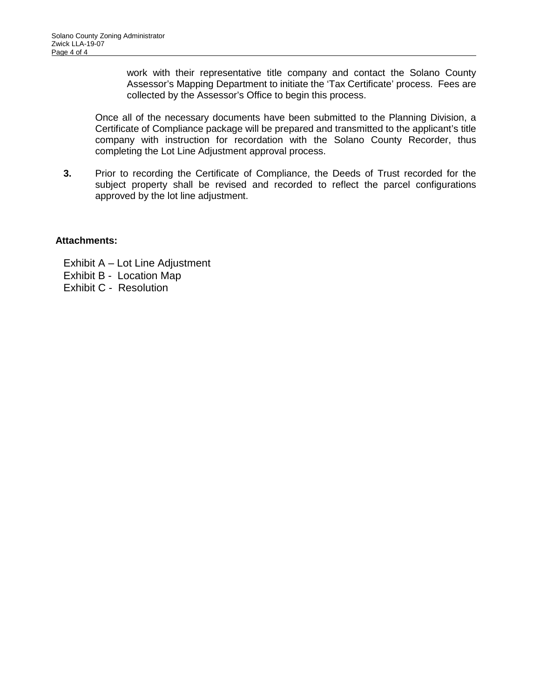work with their representative title company and contact the Solano County Assessor's Mapping Department to initiate the 'Tax Certificate' process. Fees are collected by the Assessor's Office to begin this process.

Once all of the necessary documents have been submitted to the Planning Division, a Certificate of Compliance package will be prepared and transmitted to the applicant's title company with instruction for recordation with the Solano County Recorder, thus completing the Lot Line Adjustment approval process.

**3.** Prior to recording the Certificate of Compliance, the Deeds of Trust recorded for the subject property shall be revised and recorded to reflect the parcel configurations approved by the lot line adjustment.

### **Attachments:**

Exhibit A – Lot Line Adjustment Exhibit B - Location Map Exhibit C - Resolution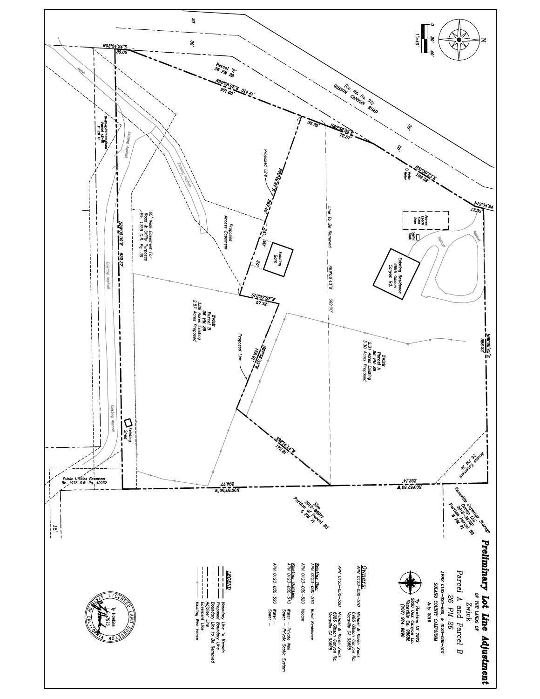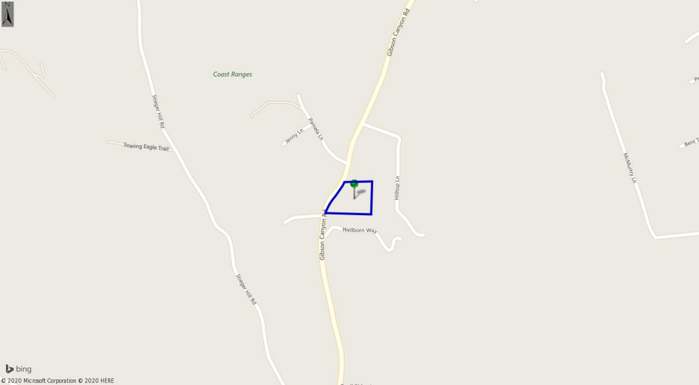



Í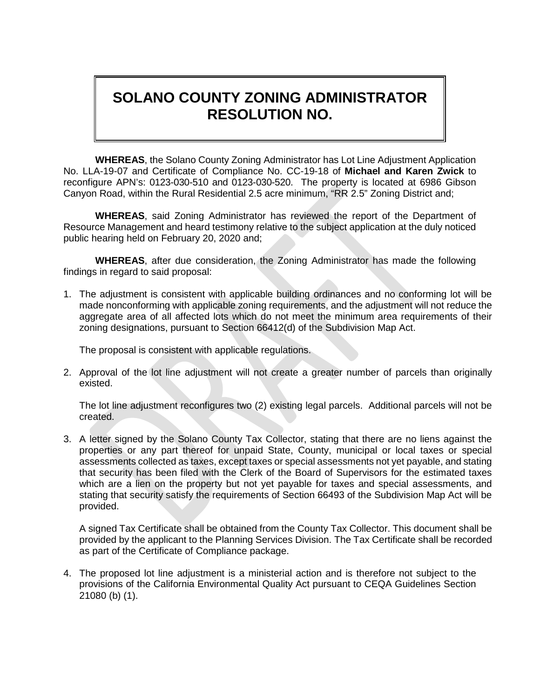# **SOLANO COUNTY ZONING ADMINISTRATOR RESOLUTION NO.**

**WHEREAS**, the Solano County Zoning Administrator has Lot Line Adjustment Application No. LLA-19-07 and Certificate of Compliance No. CC-19-18 of **Michael and Karen Zwick** to reconfigure APN's: 0123-030-510 and 0123-030-520. The property is located at 6986 Gibson Canyon Road, within the Rural Residential 2.5 acre minimum, "RR 2.5" Zoning District and;

**WHEREAS**, said Zoning Administrator has reviewed the report of the Department of Resource Management and heard testimony relative to the subject application at the duly noticed public hearing held on February 20, 2020 and;

**WHEREAS**, after due consideration, the Zoning Administrator has made the following findings in regard to said proposal:

1. The adjustment is consistent with applicable building ordinances and no conforming lot will be made nonconforming with applicable zoning requirements, and the adjustment will not reduce the aggregate area of all affected lots which do not meet the minimum area requirements of their zoning designations, pursuant to Section 66412(d) of the Subdivision Map Act.

The proposal is consistent with applicable regulations.

2. Approval of the lot line adjustment will not create a greater number of parcels than originally existed.

The lot line adjustment reconfigures two (2) existing legal parcels. Additional parcels will not be created.

3. A letter signed by the Solano County Tax Collector, stating that there are no liens against the properties or any part thereof for unpaid State, County, municipal or local taxes or special assessments collected as taxes, except taxes or special assessments not yet payable, and stating that security has been filed with the Clerk of the Board of Supervisors for the estimated taxes which are a lien on the property but not yet payable for taxes and special assessments, and stating that security satisfy the requirements of Section 66493 of the Subdivision Map Act will be provided.

A signed Tax Certificate shall be obtained from the County Tax Collector. This document shall be provided by the applicant to the Planning Services Division. The Tax Certificate shall be recorded as part of the Certificate of Compliance package.

4. The proposed lot line adjustment is a ministerial action and is therefore not subject to the provisions of the California Environmental Quality Act pursuant to CEQA Guidelines Section 21080 (b) (1).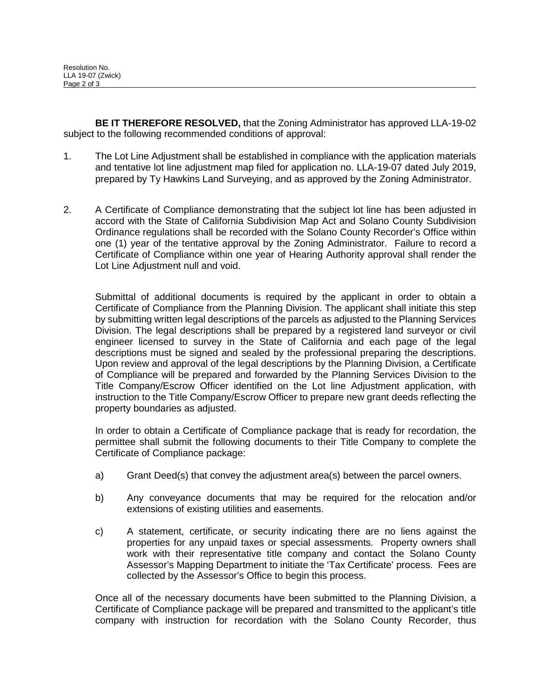**BE IT THEREFORE RESOLVED,** that the Zoning Administrator has approved LLA-19-02 subject to the following recommended conditions of approval:

- 1. The Lot Line Adjustment shall be established in compliance with the application materials and tentative lot line adjustment map filed for application no. LLA-19-07 dated July 2019, prepared by Ty Hawkins Land Surveying, and as approved by the Zoning Administrator.
- 2. A Certificate of Compliance demonstrating that the subject lot line has been adjusted in accord with the State of California Subdivision Map Act and Solano County Subdivision Ordinance regulations shall be recorded with the Solano County Recorder's Office within one (1) year of the tentative approval by the Zoning Administrator. Failure to record a Certificate of Compliance within one year of Hearing Authority approval shall render the Lot Line Adjustment null and void.

Submittal of additional documents is required by the applicant in order to obtain a Certificate of Compliance from the Planning Division. The applicant shall initiate this step by submitting written legal descriptions of the parcels as adjusted to the Planning Services Division. The legal descriptions shall be prepared by a registered land surveyor or civil engineer licensed to survey in the State of California and each page of the legal descriptions must be signed and sealed by the professional preparing the descriptions. Upon review and approval of the legal descriptions by the Planning Division, a Certificate of Compliance will be prepared and forwarded by the Planning Services Division to the Title Company/Escrow Officer identified on the Lot line Adjustment application, with instruction to the Title Company/Escrow Officer to prepare new grant deeds reflecting the property boundaries as adjusted.

In order to obtain a Certificate of Compliance package that is ready for recordation, the permittee shall submit the following documents to their Title Company to complete the Certificate of Compliance package:

- a) Grant Deed(s) that convey the adjustment area(s) between the parcel owners.
- b) Any conveyance documents that may be required for the relocation and/or extensions of existing utilities and easements.
- c) A statement, certificate, or security indicating there are no liens against the properties for any unpaid taxes or special assessments. Property owners shall work with their representative title company and contact the Solano County Assessor's Mapping Department to initiate the 'Tax Certificate' process. Fees are collected by the Assessor's Office to begin this process.

Once all of the necessary documents have been submitted to the Planning Division, a Certificate of Compliance package will be prepared and transmitted to the applicant's title company with instruction for recordation with the Solano County Recorder, thus